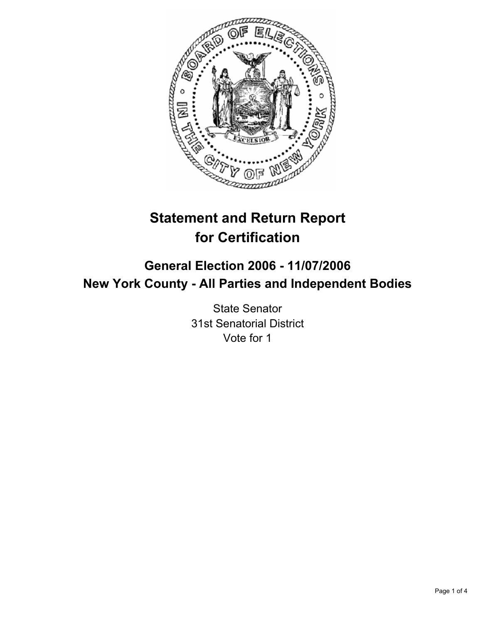

# **Statement and Return Report for Certification**

# **General Election 2006 - 11/07/2006 New York County - All Parties and Independent Bodies**

State Senator 31st Senatorial District Vote for 1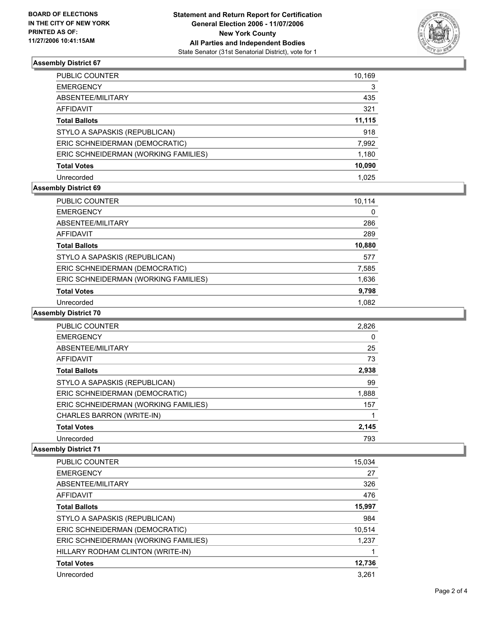

# **Assembly District 67**

| PUBLIC COUNTER                       | 10,169 |
|--------------------------------------|--------|
| <b>EMERGENCY</b>                     | 3      |
| ABSENTEE/MILITARY                    | 435    |
| AFFIDAVIT                            | 321    |
| <b>Total Ballots</b>                 | 11,115 |
| STYLO A SAPASKIS (REPUBLICAN)        | 918    |
| ERIC SCHNEIDERMAN (DEMOCRATIC)       | 7,992  |
| ERIC SCHNEIDERMAN (WORKING FAMILIES) | 1,180  |
| <b>Total Votes</b>                   | 10,090 |
| Unrecorded                           | 1.025  |

#### **Assembly District 69**

| PUBLIC COUNTER                       | 10,114 |  |
|--------------------------------------|--------|--|
| <b>EMERGENCY</b>                     | 0      |  |
| ABSENTEE/MILITARY                    | 286    |  |
| AFFIDAVIT                            | 289    |  |
| <b>Total Ballots</b>                 | 10,880 |  |
| STYLO A SAPASKIS (REPUBLICAN)        | 577    |  |
| ERIC SCHNEIDERMAN (DEMOCRATIC)       | 7,585  |  |
| ERIC SCHNEIDERMAN (WORKING FAMILIES) | 1,636  |  |
| <b>Total Votes</b>                   | 9,798  |  |
| Unrecorded                           | 1.082  |  |

#### **Assembly District 70**

| <b>PUBLIC COUNTER</b>                | 2,826 |
|--------------------------------------|-------|
| <b>EMERGENCY</b>                     |       |
| ABSENTEE/MILITARY                    | 25    |
| AFFIDAVIT                            | 73    |
| <b>Total Ballots</b>                 | 2,938 |
| STYLO A SAPASKIS (REPUBLICAN)        | 99    |
| ERIC SCHNEIDERMAN (DEMOCRATIC)       | 1,888 |
| ERIC SCHNEIDERMAN (WORKING FAMILIES) | 157   |
| CHARLES BARRON (WRITE-IN)            |       |
| <b>Total Votes</b>                   | 2,145 |
| Unrecorded                           | 793   |

## **Assembly District 71**

| <b>PUBLIC COUNTER</b>                | 15,034 |
|--------------------------------------|--------|
| <b>EMERGENCY</b>                     | 27     |
| ABSENTEE/MILITARY                    | 326    |
| AFFIDAVIT                            | 476    |
| <b>Total Ballots</b>                 | 15,997 |
| STYLO A SAPASKIS (REPUBLICAN)        | 984    |
| ERIC SCHNEIDERMAN (DEMOCRATIC)       | 10,514 |
| ERIC SCHNEIDERMAN (WORKING FAMILIES) | 1.237  |
| HILLARY RODHAM CLINTON (WRITE-IN)    |        |
| <b>Total Votes</b>                   | 12,736 |
| Unrecorded                           | 3.261  |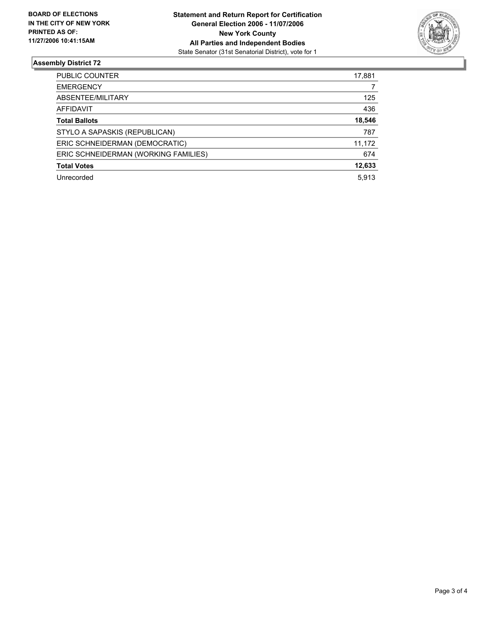

# **Assembly District 72**

| PUBLIC COUNTER                       | 17,881 |
|--------------------------------------|--------|
| <b>EMERGENCY</b>                     |        |
| ABSENTEE/MILITARY                    | 125    |
| AFFIDAVIT                            | 436    |
| <b>Total Ballots</b>                 | 18,546 |
| STYLO A SAPASKIS (REPUBLICAN)        | 787    |
| ERIC SCHNEIDERMAN (DEMOCRATIC)       | 11,172 |
| ERIC SCHNEIDERMAN (WORKING FAMILIES) | 674    |
| <b>Total Votes</b>                   | 12,633 |
| Unrecorded                           | 5,913  |
|                                      |        |